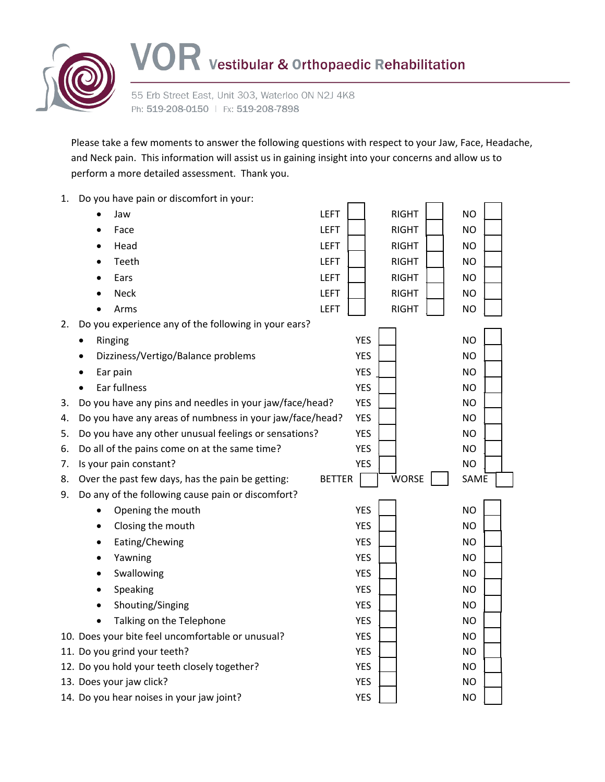

55 Erb Street East, Unit 303, Waterloo ON N2J 4K8 Ph: 519-208-0150 | Fx: 519-208-7898

Please take a few moments to answer the following questions with respect to your Jaw, Face, Headache, and Neck pain. This information will assist us in gaining insight into your concerns and allow us to perform a more detailed assessment. Thank you.

| 1. | Do you have pain or discomfort in your:                  |               |              |           |
|----|----------------------------------------------------------|---------------|--------------|-----------|
|    | Jaw                                                      | <b>LEFT</b>   | <b>RIGHT</b> | <b>NO</b> |
|    | Face                                                     | <b>LEFT</b>   | <b>RIGHT</b> | <b>NO</b> |
|    | Head                                                     | <b>LEFT</b>   | <b>RIGHT</b> | <b>NO</b> |
|    | Teeth                                                    | <b>LEFT</b>   | <b>RIGHT</b> | <b>NO</b> |
|    | Ears                                                     | <b>LEFT</b>   | <b>RIGHT</b> | <b>NO</b> |
|    | <b>Neck</b>                                              | <b>LEFT</b>   | <b>RIGHT</b> | <b>NO</b> |
|    | Arms                                                     | <b>LEFT</b>   | <b>RIGHT</b> | <b>NO</b> |
| 2. | Do you experience any of the following in your ears?     |               |              |           |
|    | Ringing<br>٠                                             | <b>YES</b>    |              | <b>NO</b> |
|    | Dizziness/Vertigo/Balance problems                       | <b>YES</b>    |              | <b>NO</b> |
|    | Ear pain                                                 | <b>YES</b>    |              | <b>NO</b> |
|    | Ear fullness<br>$\bullet$                                | <b>YES</b>    |              | <b>NO</b> |
| 3. | Do you have any pins and needles in your jaw/face/head?  | <b>YES</b>    |              | <b>NO</b> |
| 4. | Do you have any areas of numbness in your jaw/face/head? | <b>YES</b>    |              | <b>NO</b> |
| 5. | Do you have any other unusual feelings or sensations?    | <b>YES</b>    |              | <b>NO</b> |
| 6. | Do all of the pains come on at the same time?            | <b>YES</b>    |              | <b>NO</b> |
| 7. | Is your pain constant?                                   | <b>YES</b>    |              | <b>NO</b> |
| 8. | Over the past few days, has the pain be getting:         | <b>BETTER</b> | <b>WORSE</b> | SAME      |
| 9. | Do any of the following cause pain or discomfort?        |               |              |           |
|    | Opening the mouth<br>٠                                   | <b>YES</b>    |              | <b>NO</b> |
|    | Closing the mouth<br>٠                                   | <b>YES</b>    |              | <b>NO</b> |
|    | Eating/Chewing<br>٠                                      | <b>YES</b>    |              | <b>NO</b> |
|    | Yawning                                                  | <b>YES</b>    |              | <b>NO</b> |
|    | Swallowing                                               | <b>YES</b>    |              | <b>NO</b> |
|    | Speaking<br>٠                                            | <b>YES</b>    |              | <b>NO</b> |
|    | Shouting/Singing                                         | <b>YES</b>    |              | <b>NO</b> |
|    | Talking on the Telephone                                 | <b>YES</b>    |              | <b>NO</b> |
|    | 10. Does your bite feel uncomfortable or unusual?        | <b>YES</b>    |              | <b>NO</b> |
|    | 11. Do you grind your teeth?                             | <b>YES</b>    |              | <b>NO</b> |
|    | 12. Do you hold your teeth closely together?             | <b>YES</b>    |              | <b>NO</b> |
|    | 13. Does your jaw click?                                 | <b>YES</b>    |              | <b>NO</b> |
|    | 14. Do you hear noises in your jaw joint?                | <b>YES</b>    |              | NO.       |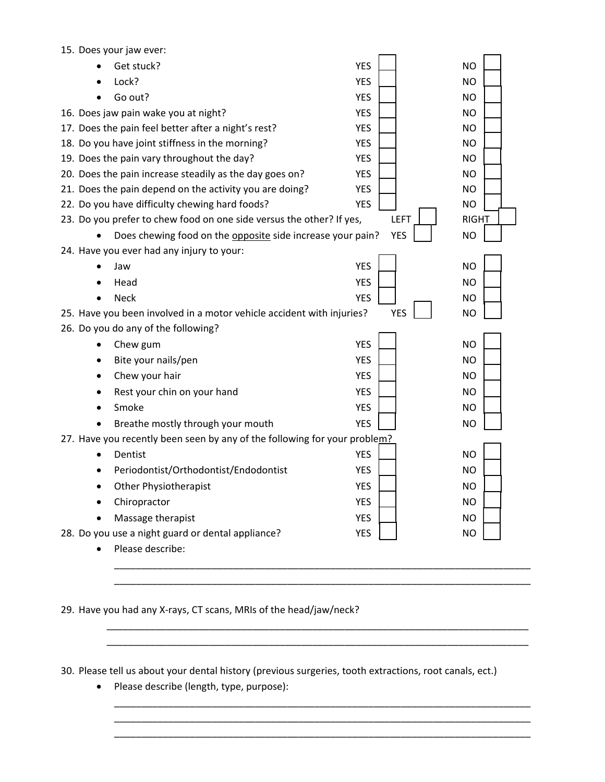| 15. Does your jaw ever:                                                   |                                                                       |            |              |  |  |  |
|---------------------------------------------------------------------------|-----------------------------------------------------------------------|------------|--------------|--|--|--|
|                                                                           | Get stuck?                                                            | <b>YES</b> | <b>NO</b>    |  |  |  |
|                                                                           | Lock?                                                                 | <b>YES</b> | <b>NO</b>    |  |  |  |
|                                                                           | Go out?                                                               | <b>YES</b> | <b>NO</b>    |  |  |  |
|                                                                           | 16. Does jaw pain wake you at night?                                  | <b>YES</b> | <b>NO</b>    |  |  |  |
|                                                                           | 17. Does the pain feel better after a night's rest?                   | <b>YES</b> | <b>NO</b>    |  |  |  |
|                                                                           | 18. Do you have joint stiffness in the morning?                       | <b>YES</b> | <b>NO</b>    |  |  |  |
|                                                                           | 19. Does the pain vary throughout the day?                            | <b>YES</b> | <b>NO</b>    |  |  |  |
|                                                                           | 20. Does the pain increase steadily as the day goes on?               | <b>YES</b> | <b>NO</b>    |  |  |  |
|                                                                           | 21. Does the pain depend on the activity you are doing?               | <b>YES</b> | <b>NO</b>    |  |  |  |
|                                                                           | 22. Do you have difficulty chewing hard foods?                        | <b>YES</b> | <b>NO</b>    |  |  |  |
|                                                                           | 23. Do you prefer to chew food on one side versus the other? If yes,  | LEFT       | <b>RIGHT</b> |  |  |  |
|                                                                           | Does chewing food on the opposite side increase your pain?            | <b>YES</b> | <b>NO</b>    |  |  |  |
|                                                                           | 24. Have you ever had any injury to your:                             |            |              |  |  |  |
|                                                                           | Jaw                                                                   | <b>YES</b> | <b>NO</b>    |  |  |  |
|                                                                           | Head                                                                  | <b>YES</b> | <b>NO</b>    |  |  |  |
| $\bullet$                                                                 | <b>Neck</b>                                                           | <b>YES</b> | <b>NO</b>    |  |  |  |
|                                                                           | 25. Have you been involved in a motor vehicle accident with injuries? | <b>YES</b> | <b>NO</b>    |  |  |  |
| 26. Do you do any of the following?                                       |                                                                       |            |              |  |  |  |
| $\bullet$                                                                 | Chew gum                                                              | <b>YES</b> | <b>NO</b>    |  |  |  |
|                                                                           | Bite your nails/pen                                                   | <b>YES</b> | <b>NO</b>    |  |  |  |
| ٠                                                                         | Chew your hair                                                        | <b>YES</b> | <b>NO</b>    |  |  |  |
| ٠                                                                         | Rest your chin on your hand                                           | <b>YES</b> | <b>NO</b>    |  |  |  |
|                                                                           | Smoke                                                                 | <b>YES</b> | <b>NO</b>    |  |  |  |
|                                                                           | Breathe mostly through your mouth                                     | <b>YES</b> | <b>NO</b>    |  |  |  |
| 27. Have you recently been seen by any of the following for your problem? |                                                                       |            |              |  |  |  |
|                                                                           | Dentist                                                               | <b>YES</b> | <b>NO</b>    |  |  |  |
|                                                                           | Periodontist/Orthodontist/Endodontist                                 | <b>YES</b> | <b>NO</b>    |  |  |  |
|                                                                           | Other Physiotherapist                                                 | <b>YES</b> | <b>NO</b>    |  |  |  |
|                                                                           | Chiropractor                                                          | <b>YES</b> | <b>NO</b>    |  |  |  |
|                                                                           | Massage therapist                                                     | <b>YES</b> | <b>NO</b>    |  |  |  |
|                                                                           | 28. Do you use a night guard or dental appliance?                     | <b>YES</b> | <b>NO</b>    |  |  |  |
|                                                                           | Please describe:                                                      |            |              |  |  |  |
|                                                                           |                                                                       |            |              |  |  |  |
|                                                                           |                                                                       |            |              |  |  |  |

29. Have you had any X‐rays, CT scans, MRIs of the head/jaw/neck?

30. Please tell us about your dental history (previous surgeries, tooth extractions, root canals, ect.)

\_\_\_\_\_\_\_\_\_\_\_\_\_\_\_\_\_\_\_\_\_\_\_\_\_\_\_\_\_\_\_\_\_\_\_\_\_\_\_\_\_\_\_\_\_\_\_\_\_\_\_\_\_\_\_\_\_\_\_\_\_\_\_\_\_\_\_\_\_\_\_\_\_\_\_\_\_\_ \_\_\_\_\_\_\_\_\_\_\_\_\_\_\_\_\_\_\_\_\_\_\_\_\_\_\_\_\_\_\_\_\_\_\_\_\_\_\_\_\_\_\_\_\_\_\_\_\_\_\_\_\_\_\_\_\_\_\_\_\_\_\_\_\_\_\_\_\_\_\_\_\_\_\_\_\_\_

\_\_\_\_\_\_\_\_\_\_\_\_\_\_\_\_\_\_\_\_\_\_\_\_\_\_\_\_\_\_\_\_\_\_\_\_\_\_\_\_\_\_\_\_\_\_\_\_\_\_\_\_\_\_\_\_\_\_\_\_\_\_\_\_\_\_\_\_\_\_\_\_\_\_\_\_\_ \_\_\_\_\_\_\_\_\_\_\_\_\_\_\_\_\_\_\_\_\_\_\_\_\_\_\_\_\_\_\_\_\_\_\_\_\_\_\_\_\_\_\_\_\_\_\_\_\_\_\_\_\_\_\_\_\_\_\_\_\_\_\_\_\_\_\_\_\_\_\_\_\_\_\_\_\_ \_\_\_\_\_\_\_\_\_\_\_\_\_\_\_\_\_\_\_\_\_\_\_\_\_\_\_\_\_\_\_\_\_\_\_\_\_\_\_\_\_\_\_\_\_\_\_\_\_\_\_\_\_\_\_\_\_\_\_\_\_\_\_\_\_\_\_\_\_\_\_\_\_\_\_\_\_

• Please describe (length, type, purpose):